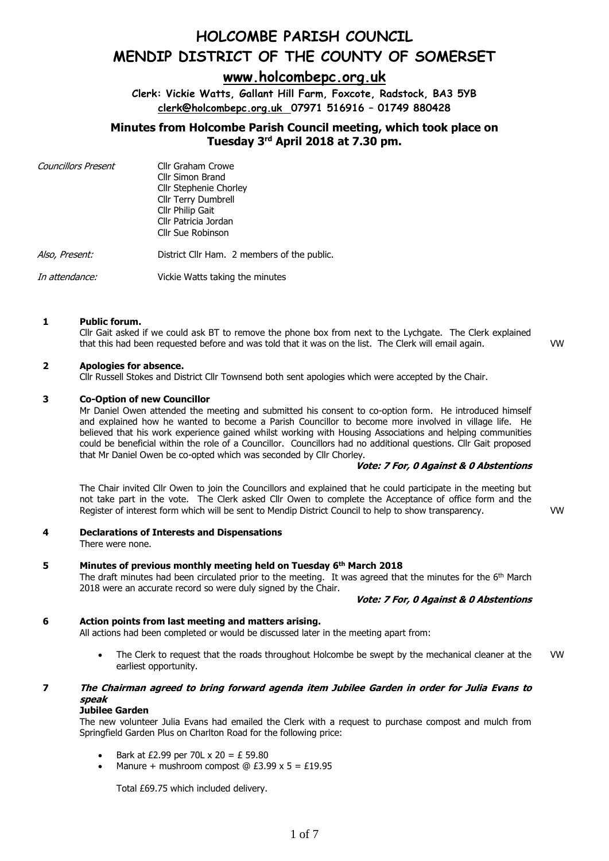### **[www.holcombepc.org.uk](http://www.holcombepc.org.uk/)**

**Clerk: Vickie Watts, Gallant Hill Farm, Foxcote, Radstock, BA3 5YB [clerk@holcombepc.org.uk](mailto:victoriawatts@orange.net) 07971 516916 – 01749 880428**

### **Minutes from Holcombe Parish Council meeting, which took place on Tuesday 3 rd April 2018 at 7.30 pm.**

| <b>Councillors Present</b> | Cllr Graham Crowe<br>Cllr Simon Brand<br><b>Cllr Stephenie Chorley</b><br>Cllr Terry Dumbrell<br>Cllr Philip Gait<br>Cllr Patricia Jordan<br>Cllr Sue Robinson |
|----------------------------|----------------------------------------------------------------------------------------------------------------------------------------------------------------|
| Also, Present:             | District Cllr Ham. 2 members of the public.                                                                                                                    |
| In attendance:             | Vickie Watts taking the minutes                                                                                                                                |

### **1 Public forum.**

Cllr Gait asked if we could ask BT to remove the phone box from next to the Lychgate. The Clerk explained that this had been requested before and was told that it was on the list. The Clerk will email again. VW

### **2 Apologies for absence.**

Cllr Russell Stokes and District Cllr Townsend both sent apologies which were accepted by the Chair.

### **3 Co-Option of new Councillor**

Mr Daniel Owen attended the meeting and submitted his consent to co-option form. He introduced himself and explained how he wanted to become a Parish Councillor to become more involved in village life. He believed that his work experience gained whilst working with Housing Associations and helping communities could be beneficial within the role of a Councillor. Councillors had no additional questions. Cllr Gait proposed that Mr Daniel Owen be co-opted which was seconded by Cllr Chorley.

### **Vote: 7 For, 0 Against & 0 Abstentions**

The Chair invited Cllr Owen to join the Councillors and explained that he could participate in the meeting but not take part in the vote. The Clerk asked Cllr Owen to complete the Acceptance of office form and the Register of interest form which will be sent to Mendip District Council to help to show transparency. VW

### **4 Declarations of Interests and Dispensations**

There were none.

### **5 Minutes of previous monthly meeting held on Tuesday 6 th March 2018**

The draft minutes had been circulated prior to the meeting. It was agreed that the minutes for the  $6<sup>th</sup>$  March 2018 were an accurate record so were duly signed by the Chair.

#### **Vote: 7 For, 0 Against & 0 Abstentions**

### **6 Action points from last meeting and matters arising.**

All actions had been completed or would be discussed later in the meeting apart from:

• The Clerk to request that the roads throughout Holcombe be swept by the mechanical cleaner at the earliest opportunity. VW

### **7 The Chairman agreed to bring forward agenda item Jubilee Garden in order for Julia Evans to speak**

### **Jubilee Garden**

The new volunteer Julia Evans had emailed the Clerk with a request to purchase compost and mulch from Springfield Garden Plus on Charlton Road for the following price:

- Bark at £2.99 per 70L x 20 = £ 59.80
- Manure + mushroom compost  $@E3.99 \times 5 = E19.95$

Total £69.75 which included delivery.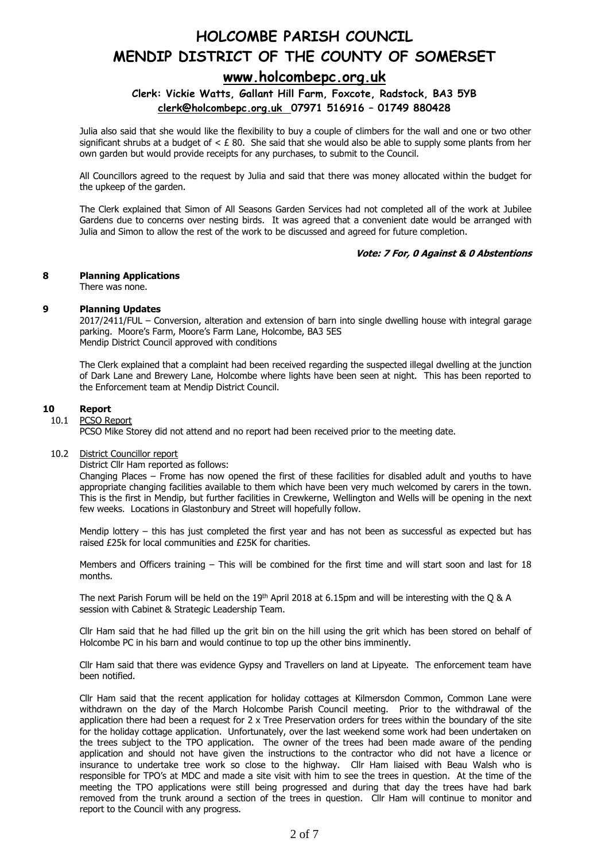### **[www.holcombepc.org.uk](http://www.holcombepc.org.uk/)**

### **Clerk: Vickie Watts, Gallant Hill Farm, Foxcote, Radstock, BA3 5YB [clerk@holcombepc.org.uk](mailto:victoriawatts@orange.net) 07971 516916 – 01749 880428**

Julia also said that she would like the flexibility to buy a couple of climbers for the wall and one or two other significant shrubs at a budget of  $\lt E 80$ . She said that she would also be able to supply some plants from her own garden but would provide receipts for any purchases, to submit to the Council.

All Councillors agreed to the request by Julia and said that there was money allocated within the budget for the upkeep of the garden.

The Clerk explained that Simon of All Seasons Garden Services had not completed all of the work at Jubilee Gardens due to concerns over nesting birds. It was agreed that a convenient date would be arranged with Julia and Simon to allow the rest of the work to be discussed and agreed for future completion.

### **Vote: 7 For, 0 Against & 0 Abstentions**

### **8 Planning Applications**

There was none.

### **9 Planning Updates**

2017/2411/FUL – Conversion, alteration and extension of barn into single dwelling house with integral garage parking. Moore's Farm, Moore's Farm Lane, Holcombe, BA3 5ES Mendip District Council approved with conditions

The Clerk explained that a complaint had been received regarding the suspected illegal dwelling at the junction of Dark Lane and Brewery Lane, Holcombe where lights have been seen at night. This has been reported to the Enforcement team at Mendip District Council.

#### **10 Report**

### 10.1 PCSO Report

PCSO Mike Storey did not attend and no report had been received prior to the meeting date.

### 10.2 District Councillor report

District Cllr Ham reported as follows:

Changing Places – Frome has now opened the first of these facilities for disabled adult and youths to have appropriate changing facilities available to them which have been very much welcomed by carers in the town. This is the first in Mendip, but further facilities in Crewkerne, Wellington and Wells will be opening in the next few weeks. Locations in Glastonbury and Street will hopefully follow.

Mendip lottery – this has just completed the first year and has not been as successful as expected but has raised £25k for local communities and £25K for charities.

Members and Officers training – This will be combined for the first time and will start soon and last for 18 months.

The next Parish Forum will be held on the 19<sup>th</sup> April 2018 at 6.15pm and will be interesting with the Q & A session with Cabinet & Strategic Leadership Team.

Cllr Ham said that he had filled up the grit bin on the hill using the grit which has been stored on behalf of Holcombe PC in his barn and would continue to top up the other bins imminently.

Cllr Ham said that there was evidence Gypsy and Travellers on land at Lipyeate. The enforcement team have been notified.

Cllr Ham said that the recent application for holiday cottages at Kilmersdon Common, Common Lane were withdrawn on the day of the March Holcombe Parish Council meeting. Prior to the withdrawal of the application there had been a request for 2 x Tree Preservation orders for trees within the boundary of the site for the holiday cottage application. Unfortunately, over the last weekend some work had been undertaken on the trees subject to the TPO application. The owner of the trees had been made aware of the pending application and should not have given the instructions to the contractor who did not have a licence or insurance to undertake tree work so close to the highway. Cllr Ham liaised with Beau Walsh who is responsible for TPO's at MDC and made a site visit with him to see the trees in question. At the time of the meeting the TPO applications were still being progressed and during that day the trees have had bark removed from the trunk around a section of the trees in question. Cllr Ham will continue to monitor and report to the Council with any progress.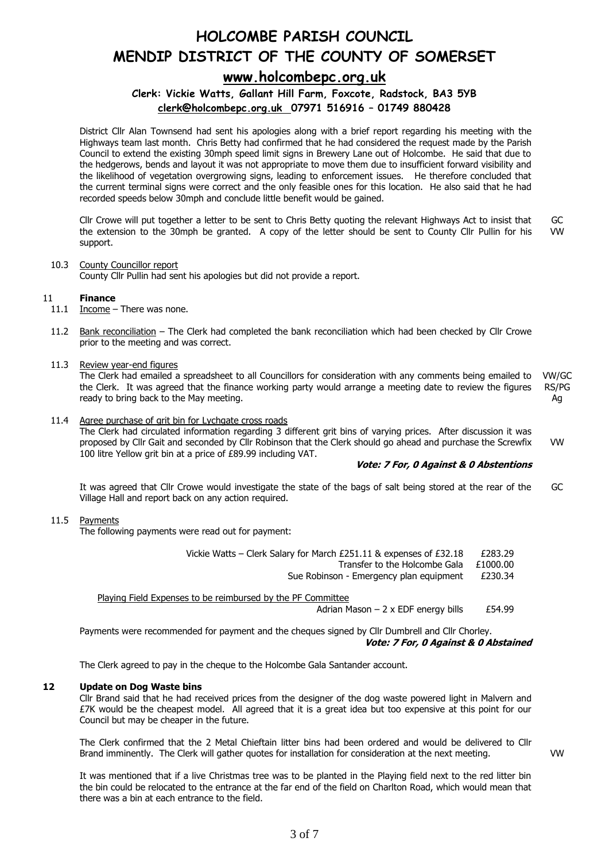### **[www.holcombepc.org.uk](http://www.holcombepc.org.uk/)**

### **Clerk: Vickie Watts, Gallant Hill Farm, Foxcote, Radstock, BA3 5YB [clerk@holcombepc.org.uk](mailto:victoriawatts@orange.net) 07971 516916 – 01749 880428**

District Cllr Alan Townsend had sent his apologies along with a brief report regarding his meeting with the Highways team last month. Chris Betty had confirmed that he had considered the request made by the Parish Council to extend the existing 30mph speed limit signs in Brewery Lane out of Holcombe. He said that due to the hedgerows, bends and layout it was not appropriate to move them due to insufficient forward visibility and the likelihood of vegetation overgrowing signs, leading to enforcement issues. He therefore concluded that the current terminal signs were correct and the only feasible ones for this location. He also said that he had recorded speeds below 30mph and conclude little benefit would be gained.

Cllr Crowe will put together a letter to be sent to Chris Betty quoting the relevant Highways Act to insist that the extension to the 30mph be granted. A copy of the letter should be sent to County Cllr Pullin for his support. GC VW

### 10.3 County Councillor report

County Cllr Pullin had sent his apologies but did not provide a report.

### 11 **Finance**

- 11.1 Income There was none.
- 11.2 Bank reconciliation The Clerk had completed the bank reconciliation which had been checked by Cllr Crowe prior to the meeting and was correct.

### 11.3 Review year-end figures

The Clerk had emailed a spreadsheet to all Councillors for consideration with any comments being emailed to the Clerk. It was agreed that the finance working party would arrange a meeting date to review the figures ready to bring back to the May meeting. VW/GC RS/PG Ag

#### 11.4 Agree purchase of grit bin for Lychgate cross roads

The Clerk had circulated information regarding 3 different grit bins of varying prices. After discussion it was proposed by Cllr Gait and seconded by Cllr Robinson that the Clerk should go ahead and purchase the Screwfix 100 litre Yellow grit bin at a price of £89.99 including VAT. VW

### **Vote: 7 For, 0 Against & 0 Abstentions**

It was agreed that Cllr Crowe would investigate the state of the bags of salt being stored at the rear of the Village Hall and report back on any action required. GC

### 11.5 Payments

The following payments were read out for payment:

| Vickie Watts - Clerk Salary for March £251.11 & expenses of £32.18 | £283.29 |
|--------------------------------------------------------------------|---------|
|--------------------------------------------------------------------|---------|

Transfer to the Holcombe Gala £1000.00

Sue Robinson - Emergency plan equipment £230.34

Playing Field Expenses to be reimbursed by the PF Committee Adrian Mason  $-2 \times$  EDF energy bills £54.99

Payments were recommended for payment and the cheques signed by Cllr Dumbrell and Cllr Chorley. **Vote: 7 For, 0 Against & 0 Abstained**

The Clerk agreed to pay in the cheque to the Holcombe Gala Santander account.

### **12 Update on Dog Waste bins**

Cllr Brand said that he had received prices from the designer of the dog waste powered light in Malvern and £7K would be the cheapest model. All agreed that it is a great idea but too expensive at this point for our Council but may be cheaper in the future.

The Clerk confirmed that the 2 Metal Chieftain litter bins had been ordered and would be delivered to Cllr Brand imminently. The Clerk will gather quotes for installation for consideration at the next meeting.

VW

It was mentioned that if a live Christmas tree was to be planted in the Playing field next to the red litter bin the bin could be relocated to the entrance at the far end of the field on Charlton Road, which would mean that there was a bin at each entrance to the field.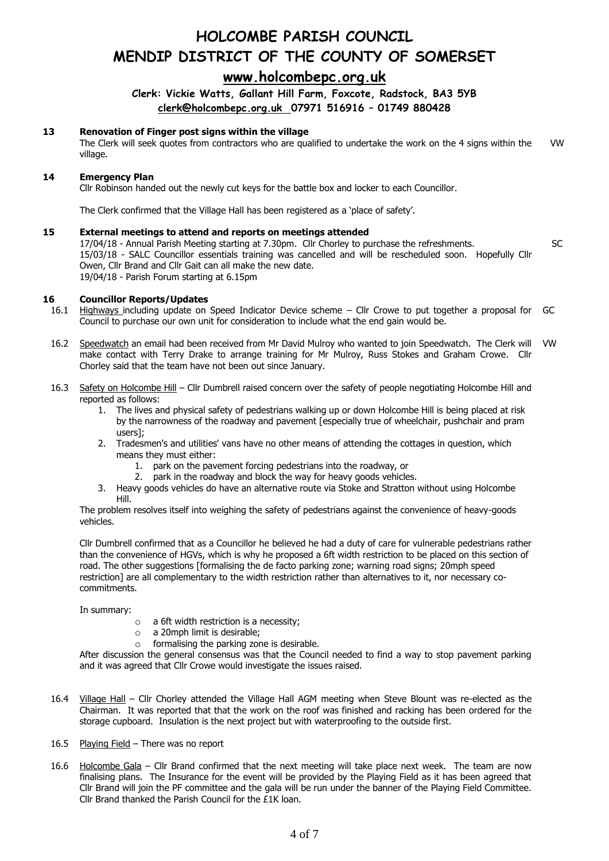## **[www.holcombepc.org.uk](http://www.holcombepc.org.uk/)**

**Clerk: Vickie Watts, Gallant Hill Farm, Foxcote, Radstock, BA3 5YB [clerk@holcombepc.org.uk](mailto:victoriawatts@orange.net) 07971 516916 – 01749 880428**

### **13 Renovation of Finger post signs within the village**

The Clerk will seek quotes from contractors who are qualified to undertake the work on the 4 signs within the village. VW

### **14 Emergency Plan**

Cllr Robinson handed out the newly cut keys for the battle box and locker to each Councillor.

The Clerk confirmed that the Village Hall has been registered as a 'place of safety'.

### **15 External meetings to attend and reports on meetings attended**

17/04/18 - Annual Parish Meeting starting at 7.30pm. Cllr Chorley to purchase the refreshments. 15/03/18 - SALC Councillor essentials training was cancelled and will be rescheduled soon. Hopefully Cllr Owen, Cllr Brand and Cllr Gait can all make the new date. 19/04/18 - Parish Forum starting at 6.15pm

SC

#### **16 Councillor Reports/Updates**

- 16.1 Highways including update on Speed Indicator Device scheme – Cllr Crowe to put together a proposal for Council to purchase our own unit for consideration to include what the end gain would be. GC
- 16.2 Speedwatch an email had been received from Mr David Mulroy who wanted to join Speedwatch. The Clerk will VW make contact with Terry Drake to arrange training for Mr Mulroy, Russ Stokes and Graham Crowe. Cllr Chorley said that the team have not been out since January.
- 16.3 Safety on Holcombe Hill Cllr Dumbrell raised concern over the safety of people negotiating Holcombe Hill and reported as follows:
	- 1. The lives and physical safety of pedestrians walking up or down Holcombe Hill is being placed at risk by the narrowness of the roadway and pavement [especially true of wheelchair, pushchair and pram users];
	- 2. Tradesmen's and utilities' vans have no other means of attending the cottages in question, which means they must either:
		- 1. park on the pavement forcing pedestrians into the roadway, or
		- 2. park in the roadway and block the way for heavy goods vehicles.
	- 3. Heavy goods vehicles do have an alternative route via Stoke and Stratton without using Holcombe Hill.

The problem resolves itself into weighing the safety of pedestrians against the convenience of heavy-goods vehicles.

Cllr Dumbrell confirmed that as a Councillor he believed he had a duty of care for vulnerable pedestrians rather than the convenience of HGVs, which is why he proposed a 6ft width restriction to be placed on this section of road. The other suggestions [formalising the de facto parking zone; warning road signs; 20mph speed restriction] are all complementary to the width restriction rather than alternatives to it, nor necessary cocommitments.

In summary:

- o a 6ft width restriction is a necessity;
- o a 20mph limit is desirable;
- $\circ$  formalising the parking zone is desirable.

After discussion the general consensus was that the Council needed to find a way to stop pavement parking and it was agreed that Cllr Crowe would investigate the issues raised.

- 16.4 Village Hall Cllr Chorley attended the Village Hall AGM meeting when Steve Blount was re-elected as the Chairman. It was reported that that the work on the roof was finished and racking has been ordered for the storage cupboard. Insulation is the next project but with waterproofing to the outside first.
- 16.5 Playing Field There was no report
- 16.6 Holcombe Gala – Cllr Brand confirmed that the next meeting will take place next week. The team are now finalising plans. The Insurance for the event will be provided by the Playing Field as it has been agreed that Cllr Brand will join the PF committee and the gala will be run under the banner of the Playing Field Committee. Cllr Brand thanked the Parish Council for the £1K loan.